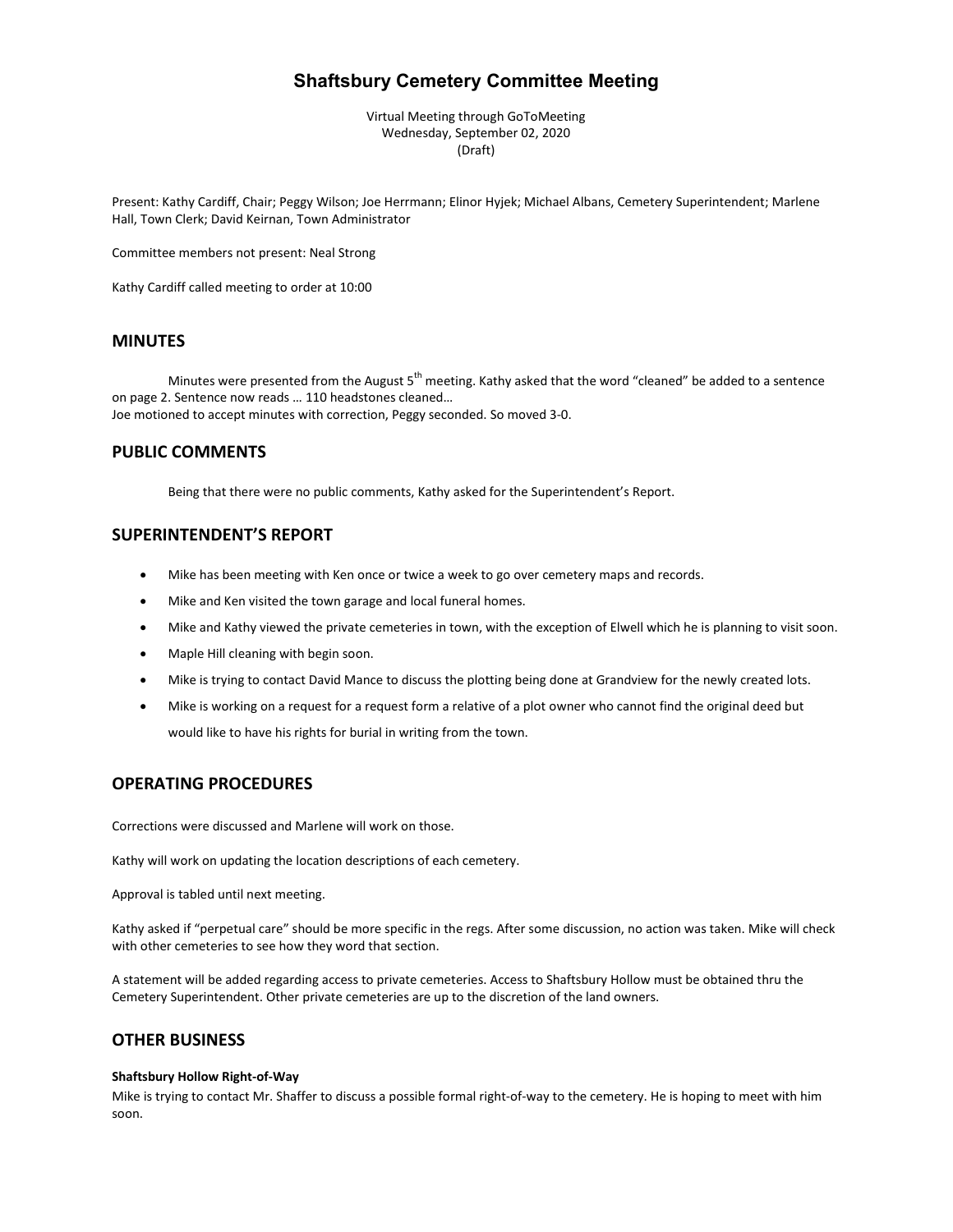# **Shaftsbury Cemetery Committee Meeting**

Virtual Meeting through GoToMeeting Wednesday, September 02, 2020 (Draft)

Present: Kathy Cardiff, Chair; Peggy Wilson; Joe Herrmann; Elinor Hyjek; Michael Albans, Cemetery Superintendent; Marlene Hall, Town Clerk; David Keirnan, Town Administrator

Committee members not present: Neal Strong

Kathy Cardiff called meeting to order at 10:00

## **MINUTES**

Minutes were presented from the August 5<sup>th</sup> meeting. Kathy asked that the word "cleaned" be added to a sentence on page 2. Sentence now reads … 110 headstones cleaned… Joe motioned to accept minutes with correction, Peggy seconded. So moved 3-0.

## **PUBLIC COMMENTS**

Being that there were no public comments, Kathy asked for the Superintendent's Report.

## **SUPERINTENDENT'S REPORT**

- Mike has been meeting with Ken once or twice a week to go over cemetery maps and records.
- Mike and Ken visited the town garage and local funeral homes.
- Mike and Kathy viewed the private cemeteries in town, with the exception of Elwell which he is planning to visit soon.
- Maple Hill cleaning with begin soon.
- Mike is trying to contact David Mance to discuss the plotting being done at Grandview for the newly created lots.
- Mike is working on a request for a request form a relative of a plot owner who cannot find the original deed but would like to have his rights for burial in writing from the town.

#### **OPERATING PROCEDURES**

Corrections were discussed and Marlene will work on those.

Kathy will work on updating the location descriptions of each cemetery.

Approval is tabled until next meeting.

Kathy asked if "perpetual care" should be more specific in the regs. After some discussion, no action was taken. Mike will check with other cemeteries to see how they word that section.

A statement will be added regarding access to private cemeteries. Access to Shaftsbury Hollow must be obtained thru the Cemetery Superintendent. Other private cemeteries are up to the discretion of the land owners.

## **OTHER BUSINESS**

#### **Shaftsbury Hollow Right-of-Way**

Mike is trying to contact Mr. Shaffer to discuss a possible formal right-of-way to the cemetery. He is hoping to meet with him soon.